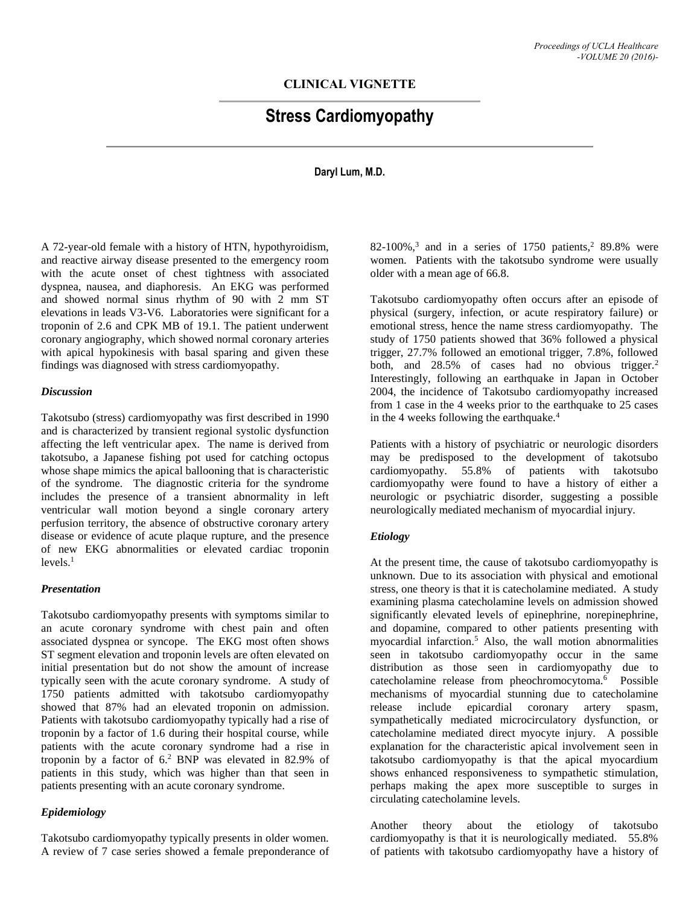# **CLINICAL VIGNETTE**

# **Stress Cardiomyopathy**

## **Daryl Lum, M.D.**

A 72-year-old female with a history of HTN, hypothyroidism, and reactive airway disease presented to the emergency room with the acute onset of chest tightness with associated dyspnea, nausea, and diaphoresis. An EKG was performed and showed normal sinus rhythm of 90 with 2 mm ST elevations in leads V3-V6. Laboratories were significant for a troponin of 2.6 and CPK MB of 19.1. The patient underwent coronary angiography, which showed normal coronary arteries with apical hypokinesis with basal sparing and given these findings was diagnosed with stress cardiomyopathy.

#### *Discussion*

Takotsubo (stress) cardiomyopathy was first described in 1990 and is characterized by transient regional systolic dysfunction affecting the left ventricular apex. The name is derived from takotsubo, a Japanese fishing pot used for catching octopus whose shape mimics the apical ballooning that is characteristic of the syndrome. The diagnostic criteria for the syndrome includes the presence of a transient abnormality in left ventricular wall motion beyond a single coronary artery perfusion territory, the absence of obstructive coronary artery disease or evidence of acute plaque rupture, and the presence of new EKG abnormalities or elevated cardiac troponin levels. 1

#### *Presentation*

Takotsubo cardiomyopathy presents with symptoms similar to an acute coronary syndrome with chest pain and often associated dyspnea or syncope. The EKG most often shows ST segment elevation and troponin levels are often elevated on initial presentation but do not show the amount of increase typically seen with the acute coronary syndrome. A study of 1750 patients admitted with takotsubo cardiomyopathy showed that 87% had an elevated troponin on admission. Patients with takotsubo cardiomyopathy typically had a rise of troponin by a factor of 1.6 during their hospital course, while patients with the acute coronary syndrome had a rise in troponin by a factor of 6.<sup>2</sup> BNP was elevated in 82.9% of patients in this study, which was higher than that seen in patients presenting with an acute coronary syndrome.

## *Epidemiology*

Takotsubo cardiomyopathy typically presents in older women. A review of 7 case series showed a female preponderance of

82-100%, 3 and in a series of 1750 patients, <sup>2</sup> 89.8% were women. Patients with the takotsubo syndrome were usually older with a mean age of 66.8.

Takotsubo cardiomyopathy often occurs after an episode of physical (surgery, infection, or acute respiratory failure) or emotional stress, hence the name stress cardiomyopathy. The study of 1750 patients showed that 36% followed a physical trigger, 27.7% followed an emotional trigger, 7.8%, followed both, and  $28.5\%$  of cases had no obvious trigger.<sup>2</sup> Interestingly, following an earthquake in Japan in October 2004, the incidence of Takotsubo cardiomyopathy increased from 1 case in the 4 weeks prior to the earthquake to 25 cases in the 4 weeks following the earthquake.<sup>4</sup>

Patients with a history of psychiatric or neurologic disorders may be predisposed to the development of takotsubo cardiomyopathy. 55.8% of patients with takotsubo cardiomyopathy were found to have a history of either a neurologic or psychiatric disorder, suggesting a possible neurologically mediated mechanism of myocardial injury.

#### *Etiology*

At the present time, the cause of takotsubo cardiomyopathy is unknown. Due to its association with physical and emotional stress, one theory is that it is catecholamine mediated. A study examining plasma catecholamine levels on admission showed significantly elevated levels of epinephrine, norepinephrine, and dopamine, compared to other patients presenting with myocardial infarction. <sup>5</sup> Also, the wall motion abnormalities seen in takotsubo cardiomyopathy occur in the same distribution as those seen in cardiomyopathy due to catecholamine release from pheochromocytoma.<sup>6</sup> Possible mechanisms of myocardial stunning due to catecholamine release include epicardial coronary artery spasm, sympathetically mediated microcirculatory dysfunction, or catecholamine mediated direct myocyte injury. A possible explanation for the characteristic apical involvement seen in takotsubo cardiomyopathy is that the apical myocardium shows enhanced responsiveness to sympathetic stimulation, perhaps making the apex more susceptible to surges in circulating catecholamine levels.

Another theory about the etiology of takotsubo cardiomyopathy is that it is neurologically mediated. 55.8% of patients with takotsubo cardiomyopathy have a history of